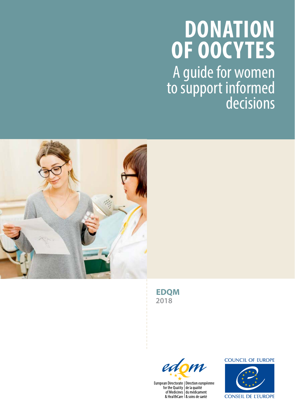# **DONATION OF OOCYTES**

A guide for women to support informed<br>decisions



**EDQM 2018**



European Directorate | Direction européenne<br>
for the Quality | de la qualité<br>
of Medicines | du médicament<br>
& HealthCare | & soins de santé

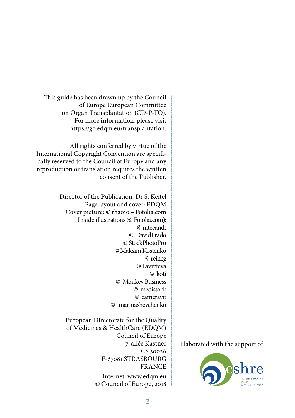This guide has been drawn up by the Council of Europe European Committee on Organ Transplantation (CD-P-TO). For more information, please visit https://go.edqm.eu/transplantation.

All rights conferred by virtue of the International Copyright Convention are specifically reserved to the Council of Europe and any reproduction or translation requires the written consent of the Publisher.

> Director of the Publication: Dr S. Keitel Page layout and cover: EDQM Cover picture: © rh2010 – Fotolia.com Inside illustrations (© Fotolia.com): © mteeandt © DavidPrado © StockPhotoPro © Maksim Kostenko © reineg © Lavreteva © koti © Monkey Business © medistock © cameravit © marinashevchenko

European Directorate for the Quality of Medicines & HealthCare (EDQM) Council of Europe 7, allée Kastner CS 30026 F-67081 STRASBOURG FRANCE

Internet: www.edqm.eu © Council of Europe, 2018

#### Elaborated with the support of



m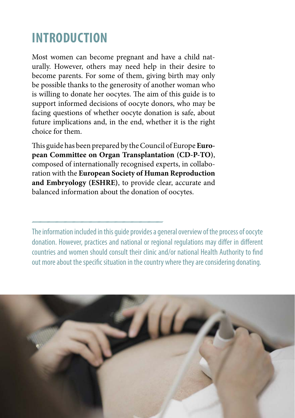### **INTRODUCTION**

Most women can become pregnant and have a child naturally. However, others may need help in their desire to become parents. For some of them, giving birth may only be possible thanks to the generosity of another woman who is willing to donate her oocytes. The aim of this guide is to support informed decisions of oocyte donors, who may be facing questions of whether oocyte donation is safe, about future implications and, in the end, whether it is the right choice for them.

This guide has been prepared by the Council of Europe **European Committee on Organ Transplantation (CD-P-TO)**, composed of internationally recognised experts, in collaboration with the **European Society of Human Reproduction and Embryology (ESHRE)**, to provide clear, accurate and balanced information about the donation of oocytes.



The information included in this guide provides a general overview of the process of oocyte donation. However, practices and national or regional regulations may differ in different countries and women should consult their clinic and/or national Health Authority to find out more about the specific situation in the country where they are considering donating.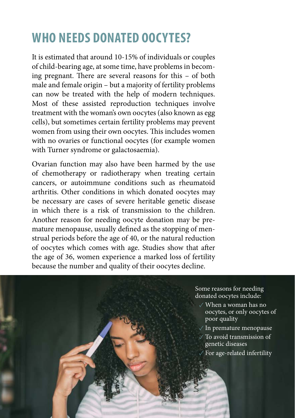#### **WHO NEEDS DONATED OOCYTES?**

It is estimated that around 10-15% of individuals or couples of child-bearing age, at some time, have problems in becoming pregnant. There are several reasons for this – of both male and female origin – but a majority of fertility problems can now be treated with the help of modern techniques. Most of these assisted reproduction techniques involve treatment with the woman's own oocytes (also known as egg cells), but sometimes certain fertility problems may prevent women from using their own oocytes. This includes women with no ovaries or functional oocytes (for example women with Turner syndrome or galactosaemia).

Ovarian function may also have been harmed by the use of chemotherapy or radiotherapy when treating certain cancers, or autoimmune conditions such as rheumatoid arthritis. Other conditions in which donated oocytes may be necessary are cases of severe heritable genetic disease in which there is a risk of transmission to the children. Another reason for needing oocyte donation may be premature menopause, usually defined as the stopping of menstrual periods before the age of 40, or the natural reduction of oocytes which comes with age. Studies show that after the age of 36, women experience a marked loss of fertility because the number and quality of their oocytes decline.

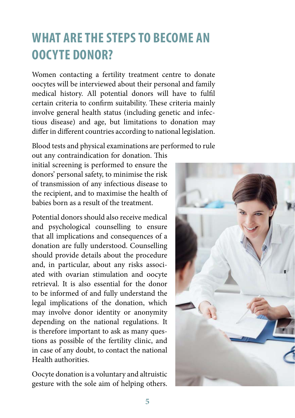### **WHAT ARE THE STEPS TO BECOME AN OOCYTE DONOR?**

Women contacting a fertility treatment centre to donate oocytes will be interviewed about their personal and family medical history. All potential donors will have to fulfil certain criteria to confirm suitability. These criteria mainly involve general health status (including genetic and infectious disease) and age, but limitations to donation may differ in different countries according to national legislation.

Blood tests and physical examinations are performed to rule

out any contraindication for donation. This initial screening is performed to ensure the donors' personal safety, to minimise the risk of transmission of any infectious disease to the recipient, and to maximise the health of babies born as a result of the treatment.

Potential donors should also receive medical and psychological counselling to ensure that all implications and consequences of a donation are fully understood. Counselling should provide details about the procedure and, in particular, about any risks associated with ovarian stimulation and oocyte retrieval. It is also essential for the donor to be informed of and fully understand the legal implications of the donation, which may involve donor identity or anonymity depending on the national regulations. It is therefore important to ask as many questions as possible of the fertility clinic, and in case of any doubt, to contact the national Health authorities.

Oocyte donation is a voluntary and altruistic gesture with the sole aim of helping others.

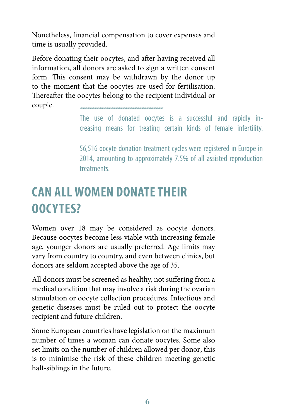Nonetheless, financial compensation to cover expenses and time is usually provided.

Before donating their oocytes, and after having received all information, all donors are asked to sign a written consent form. This consent may be withdrawn by the donor up to the moment that the oocytes are used for fertilisation. Thereafter the oocytes belong to the recipient individual or couple.

> The use of donated oocytes is a successful and rapidly increasing means for treating certain kinds of female infertility.

> 56,516 oocyte donation treatment cycles were registered in Europe in 2014, amounting to approximately 7.5% of all assisted reproduction treatments.

### **CAN ALL WOMEN DONATE THEIR OOCYTES?**

Women over 18 may be considered as oocyte donors. Because oocytes become less viable with increasing female age, younger donors are usually preferred. Age limits may vary from country to country, and even between clinics, but donors are seldom accepted above the age of 35.

All donors must be screened as healthy, not suffering from a medical condition that may involve a risk during the ovarian stimulation or oocyte collection procedures. Infectious and genetic diseases must be ruled out to protect the oocyte recipient and future children.

Some European countries have legislation on the maximum number of times a woman can donate oocytes. Some also set limits on the number of children allowed per donor; this is to minimise the risk of these children meeting genetic half-siblings in the future.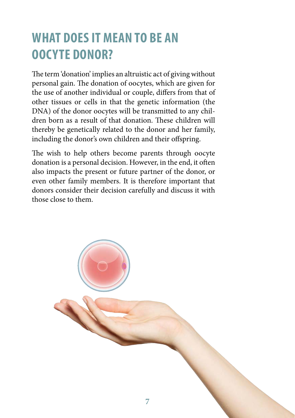### **WHAT DOES IT MEAN TO BE AN OOCYTE DONOR?**

The term 'donation' implies an altruistic act of giving without personal gain. The donation of oocytes, which are given for the use of another individual or couple, differs from that of other tissues or cells in that the genetic information (the DNA) of the donor oocytes will be transmitted to any children born as a result of that donation. These children will thereby be genetically related to the donor and her family, including the donor's own children and their offspring.

The wish to help others become parents through oocyte donation is a personal decision. However, in the end, it often also impacts the present or future partner of the donor, or even other family members. It is therefore important that donors consider their decision carefully and discuss it with those close to them.

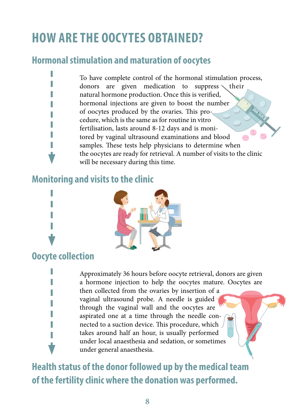### **HOW ARE THE OOCYTES OBTAINED?**

#### **Hormonal stimulation and maturation of oocytes**

To have complete control of the hormonal stimulation process, donors are given medication to suppress their natural hormone production. Once this is verified, hormonal injections are given to boost the number of oocytes produced by the ovaries. This procedure, which is the same as for routine in vitro fertilisation, lasts around 8-12 days and is monitored by vaginal ultrasound examinations and blood samples. These tests help physicians to determine when the oocytes are ready for retrieval. A number of visits to the clinic will be necessary during this time.

#### **Monitoring and visits to the clinic**



#### **Oocyte collection**

Approximately 36 hours before oocyte retrieval, donors are given a hormone injection to help the oocytes mature. Oocytes are then collected from the ovaries by insertion of a vaginal ultrasound probe. A needle is guided through the vaginal wall and the oocytes are aspirated one at a time through the needle connected to a suction device. This procedure, which takes around half an hour, is usually performed under local anaesthesia and sedation, or sometimes under general anaesthesia.

**Health status of the donor followed up by the medical team of the fertility clinic where the donation was performed.**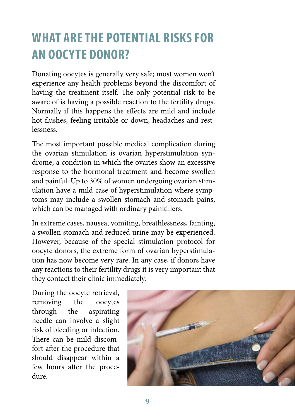### **WHAT ARE THE POTENTIAL RISKS FOR AN OOCYTE DONOR?**

Donating oocytes is generally very safe; most women won't experience any health problems beyond the discomfort of having the treatment itself. The only potential risk to be aware of is having a possible reaction to the fertility drugs. Normally if this happens the effects are mild and include hot flushes, feeling irritable or down, headaches and restlessness.

The most important possible medical complication during the ovarian stimulation is ovarian hyperstimulation syndrome, a condition in which the ovaries show an excessive response to the hormonal treatment and become swollen and painful. Up to 30% of women undergoing ovarian stimulation have a mild case of hyperstimulation where symptoms may include a swollen stomach and stomach pains, which can be managed with ordinary painkillers.

In extreme cases, nausea, vomiting, breathlessness, fainting, a swollen stomach and reduced urine may be experienced. However, because of the special stimulation protocol for oocyte donors, the extreme form of ovarian hyperstimulation has now become very rare. In any case, if donors have any reactions to their fertility drugs it is very important that they contact their clinic immediately.

During the oocyte retrieval, removing the oocytes through the aspirating needle can involve a slight risk of bleeding or infection. There can be mild discomfort after the procedure that should disappear within a few hours after the procedure.

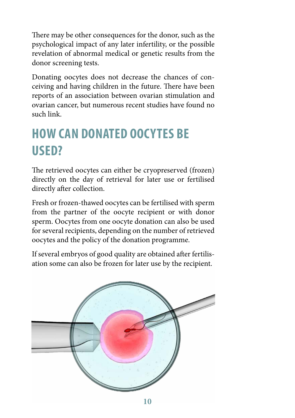There may be other consequences for the donor, such as the psychological impact of any later infertility, or the possible revelation of abnormal medical or genetic results from the donor screening tests.

Donating oocytes does not decrease the chances of conceiving and having children in the future. There have been reports of an association between ovarian stimulation and ovarian cancer, but numerous recent studies have found no such link.

## **HOW CAN DONATED OOCYTES BE USED?**

The retrieved oocytes can either be cryopreserved (frozen) directly on the day of retrieval for later use or fertilised directly after collection.

Fresh or frozen-thawed oocytes can be fertilised with sperm from the partner of the oocyte recipient or with donor sperm. Oocytes from one oocyte donation can also be used for several recipients, depending on the number of retrieved oocytes and the policy of the donation programme.

If several embryos of good quality are obtained after fertilisation some can also be frozen for later use by the recipient.

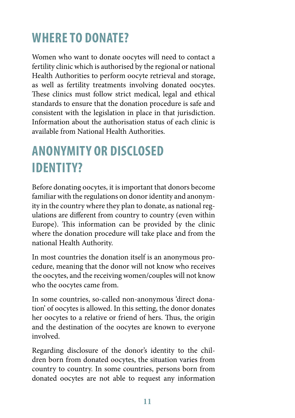### **WHERE TO DONATE?**

Women who want to donate oocytes will need to contact a fertility clinic which is authorised by the regional or national Health Authorities to perform oocyte retrieval and storage, as well as fertility treatments involving donated oocytes. These clinics must follow strict medical, legal and ethical standards to ensure that the donation procedure is safe and consistent with the legislation in place in that jurisdiction. Information about the authorisation status of each clinic is available from National Health Authorities.

### **ANONYMITY OR DISCLOSED IDENTITY?**

Before donating oocytes, it is important that donors become familiar with the regulations on donor identity and anonymity in the country where they plan to donate, as national regulations are different from country to country (even within Europe). This information can be provided by the clinic where the donation procedure will take place and from the national Health Authority.

In most countries the donation itself is an anonymous procedure, meaning that the donor will not know who receives the oocytes, and the receiving women/couples will not know who the oocytes came from.

In some countries, so-called non-anonymous 'direct donation' of oocytes is allowed. In this setting, the donor donates her oocytes to a relative or friend of hers. Thus, the origin and the destination of the oocytes are known to everyone involved.

Regarding disclosure of the donor's identity to the children born from donated oocytes, the situation varies from country to country. In some countries, persons born from donated oocytes are not able to request any information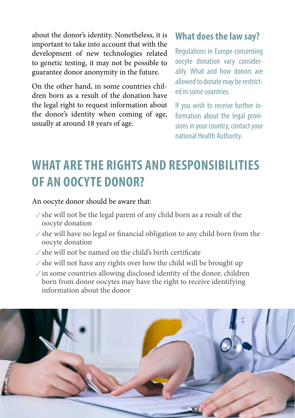about the donor's identity. Nonetheless, it is important to take into account that with the development of new technologies related to genetic testing, it may not be possible to guarantee donor anonymity in the future.

On the other hand, in some countries children born as a result of the donation have the legal right to request information about the donor's identity when coming of age, usually at around 18 years of age.

#### **What does the law say?**

Regulations in Europe concerning oocyte donation vary considerably. What and how donors are allowed to donate may be restricted in some countries.

If you wish to receive further information about the legal provisions in your country, contact your national Health Authority.

### **WHAT ARE THE RIGHTS AND RESPONSIBILITIES OF AN OOCYTE DONOR?**

An oocyte donor should be aware that:

- $\sqrt{\ }$ she will not be the legal parent of any child born as a result of the oocyte donation
- $\checkmark$  she will have no legal or financial obligation to any child born from the oocyte donation
- ✓she will not be named on the child's birth certificate
- $\checkmark$  she will not have any rights over how the child will be brought up
- $\checkmark$  in some countries allowing disclosed identity of the donor, children born from donor oocytes may have the right to receive identifying information about the donor

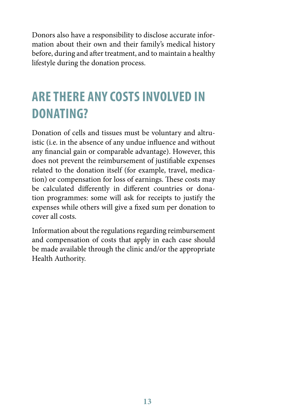Donors also have a responsibility to disclose accurate information about their own and their family's medical history before, during and after treatment, and to maintain a healthy lifestyle during the donation process.

### **ARE THERE ANY COSTS INVOLVED IN DONATING?**

Donation of cells and tissues must be voluntary and altruistic (i.e. in the absence of any undue influence and without any financial gain or comparable advantage). However, this does not prevent the reimbursement of justifiable expenses related to the donation itself (for example, travel, medication) or compensation for loss of earnings. These costs may be calculated differently in different countries or donation programmes: some will ask for receipts to justify the expenses while others will give a fixed sum per donation to cover all costs.

Information about the regulations regarding reimbursement and compensation of costs that apply in each case should be made available through the clinic and/or the appropriate Health Authority.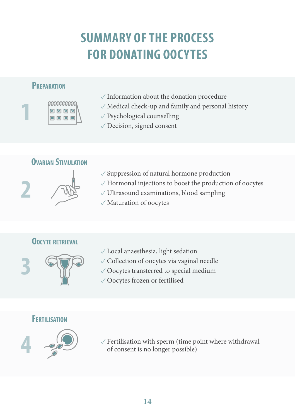### **SUMMARY OF THE PROCESS FOR DONATING OOCYTES**

#### **Preparation**



- $\sqrt{}$  Information about the donation procedure
- $\sqrt{}$  Medical check-up and family and personal history
- $\sqrt{P}$ sychological counselling
- ✓ Decision, signed consent

#### **OVARIAN STIMULATION**



- $\sqrt{\ }$  Suppression of natural hormone production
- ✓ Hormonal injections to boost the production of oocytes
- ✓ Ultrasound examinations, blood sampling
- ✓ Maturation of oocytes

#### **Oocyte retrieval**



- ✓Local anaesthesia, light sedation
- ✓Collection of oocytes via vaginal needle
- ✓ Oocytes transferred to special medium
- ✓ Oocytes frozen or fertilised

#### **Fertilisation**



 $\sqrt{\frac{F}{T}}$  Fertilisation with sperm (time point where withdrawal of consent is no longer possible)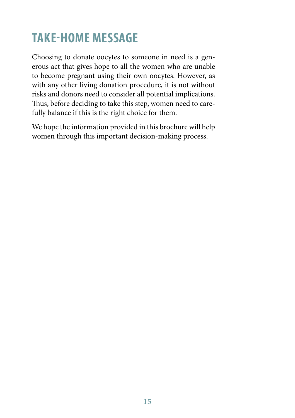### **TAKE-HOME MESSAGE**

Choosing to donate oocytes to someone in need is a generous act that gives hope to all the women who are unable to become pregnant using their own oocytes. However, as with any other living donation procedure, it is not without risks and donors need to consider all potential implications. Thus, before deciding to take this step, women need to carefully balance if this is the right choice for them.

We hope the information provided in this brochure will help women through this important decision-making process.